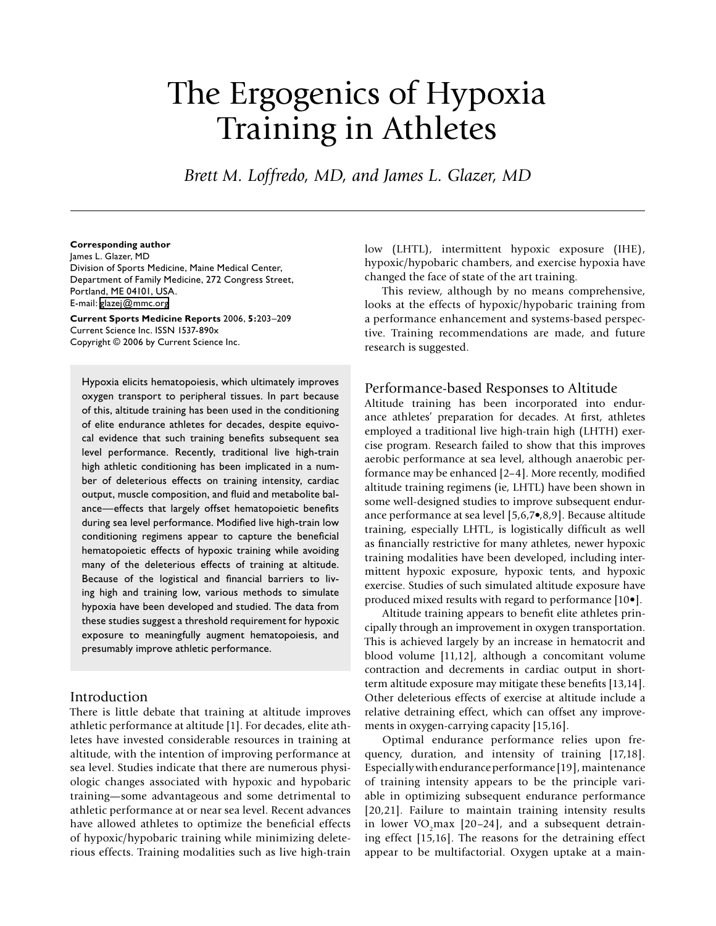# The Ergogenics of Hypoxia Training in Athletes

*Brett M. Loffredo, MD, and James L. Glazer, MD*

#### **Corresponding author**

James L. Glazer, MD Division of Sports Medicine, Maine Medical Center, Department of Family Medicine, 272 Congress Street, Portland, ME 04101, USA. E-mail: [glazej@mmc.org](mailto:glazej@mmc.org)

**Current Sports Medicine Reports** 2006, **5:**203–209 Current Science Inc. ISSN 1537-890x Copyright © 2006 by Current Science Inc.

Hypoxia elicits hematopoiesis, which ultimately improves oxygen transport to peripheral tissues. In part because of this, altitude training has been used in the conditioning of elite endurance athletes for decades, despite equivocal evidence that such training benefits subsequent sea level performance. Recently, traditional live high-train high athletic conditioning has been implicated in a number of deleterious effects on training intensity, cardiac output, muscle composition, and fluid and metabolite balance—effects that largely offset hematopoietic benefits during sea level performance. Modified live high-train low conditioning regimens appear to capture the beneficial hematopoietic effects of hypoxic training while avoiding many of the deleterious effects of training at altitude. Because of the logistical and financial barriers to living high and training low, various methods to simulate hypoxia have been developed and studied. The data from these studies suggest a threshold requirement for hypoxic exposure to meaningfully augment hematopoiesis, and presumably improve athletic performance.

# Introduction

There is little debate that training at altitude improves athletic performance at altitude [1]. For decades, elite athletes have invested considerable resources in training at altitude, with the intention of improving performance at sea level. Studies indicate that there are numerous physiologic changes associated with hypoxic and hypobaric training—some advantageous and some detrimental to athletic performance at or near sea level. Recent advances have allowed athletes to optimize the beneficial effects of hypoxic/hypobaric training while minimizing deleterious effects. Training modalities such as live high-train

low (LHTL), intermittent hypoxic exposure (IHE), hypoxic/hypobaric chambers, and exercise hypoxia have changed the face of state of the art training.

This review, although by no means comprehensive, looks at the effects of hypoxic/hypobaric training from a performance enhancement and systems-based perspective. Training recommendations are made, and future research is suggested.

## Performance-based Responses to Altitude

Altitude training has been incorporated into endurance athletes' preparation for decades. At first, athletes employed a traditional live high-train high (LHTH) exercise program. Research failed to show that this improves aerobic performance at sea level, although anaerobic performance may be enhanced [2–4]. More recently, modified altitude training regimens (ie, LHTL) have been shown in some well-designed studies to improve subsequent endurance performance at sea level [5,6,7•,8,9]. Because altitude training, especially LHTL, is logistically difficult as well as financially restrictive for many athletes, newer hypoxic training modalities have been developed, including intermittent hypoxic exposure, hypoxic tents, and hypoxic exercise. Studies of such simulated altitude exposure have produced mixed results with regard to performance [10•].

Altitude training appears to benefit elite athletes principally through an improvement in oxygen transportation. This is achieved largely by an increase in hematocrit and blood volume [11,12], although a concomitant volume contraction and decrements in cardiac output in shortterm altitude exposure may mitigate these benefits [13,14]. Other deleterious effects of exercise at altitude include a relative detraining effect, which can offset any improvements in oxygen-carrying capacity [15,16].

Optimal endurance performance relies upon frequency, duration, and intensity of training [17,18]. Especially with endurance performance [19], maintenance of training intensity appears to be the principle variable in optimizing subsequent endurance performance [20,21]. Failure to maintain training intensity results in lower VO<sub>2</sub>max  $[20-24]$ , and a subsequent detraining effect [15,16]. The reasons for the detraining effect appear to be multifactorial. Oxygen uptake at a main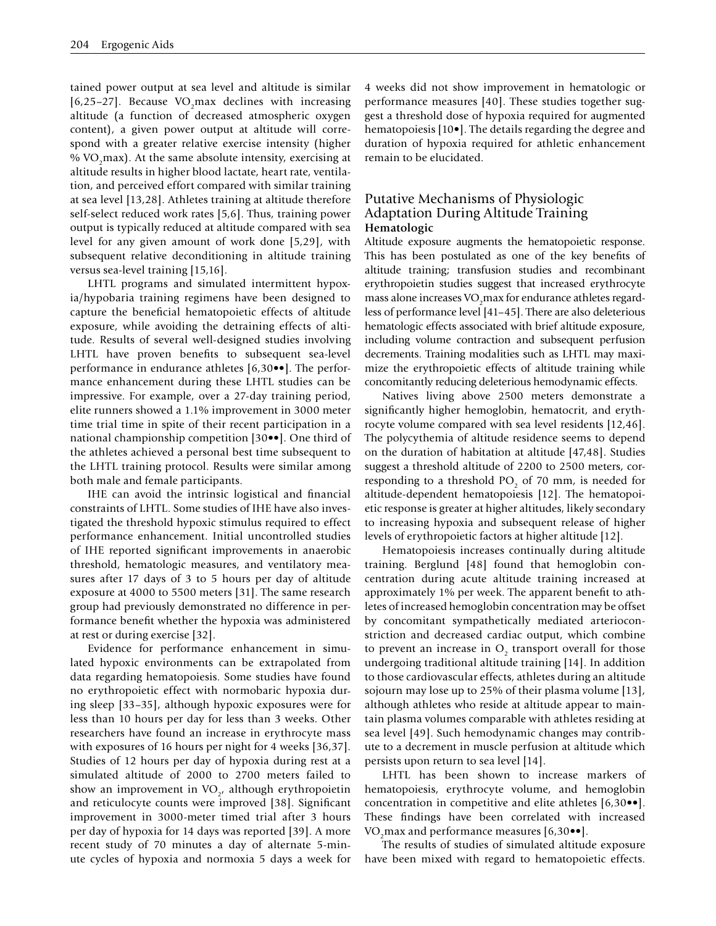tained power output at sea level and altitude is similar [6,25-27]. Because VO<sub>2</sub>max declines with increasing altitude (a function of decreased atmospheric oxygen content), a given power output at altitude will correspond with a greater relative exercise intensity (higher % VO<sub>2</sub>max). At the same absolute intensity, exercising at altitude results in higher blood lactate, heart rate, ventilation, and perceived effort compared with similar training at sea level [13,28]. Athletes training at altitude therefore self-select reduced work rates [5,6]. Thus, training power output is typically reduced at altitude compared with sea level for any given amount of work done [5,29], with subsequent relative deconditioning in altitude training versus sea-level training [15,16].

LHTL programs and simulated intermittent hypoxia/hypobaria training regimens have been designed to capture the beneficial hematopoietic effects of altitude exposure, while avoiding the detraining effects of altitude. Results of several well-designed studies involving LHTL have proven benefits to subsequent sea-level performance in endurance athletes [6,30••]. The performance enhancement during these LHTL studies can be impressive. For example, over a 27-day training period, elite runners showed a 1.1% improvement in 3000 meter time trial time in spite of their recent participation in a national championship competition [30••]. One third of the athletes achieved a personal best time subsequent to the LHTL training protocol. Results were similar among both male and female participants.

IHE can avoid the intrinsic logistical and financial constraints of LHTL. Some studies of IHE have also investigated the threshold hypoxic stimulus required to effect performance enhancement. Initial uncontrolled studies of IHE reported significant improvements in anaerobic threshold, hematologic measures, and ventilatory measures after 17 days of 3 to 5 hours per day of altitude exposure at 4000 to 5500 meters [31]. The same research group had previously demonstrated no difference in performance benefit whether the hypoxia was administered at rest or during exercise [32].

Evidence for performance enhancement in simulated hypoxic environments can be extrapolated from data regarding hematopoiesis. Some studies have found no erythropoietic effect with normobaric hypoxia during sleep [33–35], although hypoxic exposures were for less than 10 hours per day for less than 3 weeks. Other researchers have found an increase in erythrocyte mass with exposures of 16 hours per night for 4 weeks [36,37]. Studies of 12 hours per day of hypoxia during rest at a simulated altitude of 2000 to 2700 meters failed to show an improvement in  $VO_{2}$ , although erythropoietin and reticulocyte counts were improved [38]. Significant improvement in 3000-meter timed trial after 3 hours per day of hypoxia for 14 days was reported [39]. A more recent study of 70 minutes a day of alternate 5-minute cycles of hypoxia and normoxia 5 days a week for 4 weeks did not show improvement in hematologic or performance measures [40]. These studies together suggest a threshold dose of hypoxia required for augmented hematopoiesis [10•]. The details regarding the degree and duration of hypoxia required for athletic enhancement remain to be elucidated.

# Putative Mechanisms of Physiologic Adaptation During Altitude Training **Hematologic**

Altitude exposure augments the hematopoietic response. This has been postulated as one of the key benefits of altitude training; transfusion studies and recombinant erythropoietin studies suggest that increased erythrocyte mass alone increases  $\rm VO_{2}$ max for endurance athletes regardless of performance level [41–45]. There are also deleterious hematologic effects associated with brief altitude exposure, including volume contraction and subsequent perfusion decrements. Training modalities such as LHTL may maximize the erythropoietic effects of altitude training while concomitantly reducing deleterious hemodynamic effects.

Natives living above 2500 meters demonstrate a significantly higher hemoglobin, hematocrit, and erythrocyte volume compared with sea level residents [12,46]. The polycythemia of altitude residence seems to depend on the duration of habitation at altitude [47,48]. Studies suggest a threshold altitude of 2200 to 2500 meters, corresponding to a threshold  $PO_2$  of 70 mm, is needed for altitude-dependent hematopoiesis [12]. The hematopoietic response is greater at higher altitudes, likely secondary to increasing hypoxia and subsequent release of higher levels of erythropoietic factors at higher altitude [12].

Hematopoiesis increases continually during altitude training. Berglund [48] found that hemoglobin concentration during acute altitude training increased at approximately 1% per week. The apparent benefit to athletes of increased hemoglobin concentration may be offset by concomitant sympathetically mediated arterioconstriction and decreased cardiac output, which combine to prevent an increase in  $O_2$  transport overall for those undergoing traditional altitude training [14]. In addition to those cardiovascular effects, athletes during an altitude sojourn may lose up to 25% of their plasma volume [13], although athletes who reside at altitude appear to maintain plasma volumes comparable with athletes residing at sea level [49]. Such hemodynamic changes may contribute to a decrement in muscle perfusion at altitude which persists upon return to sea level [14].

LHTL has been shown to increase markers of hematopoiesis, erythrocyte volume, and hemoglobin concentration in competitive and elite athletes [6,30••]. These findings have been correlated with increased VO<sub>2</sub>max and performance measures  $[6,30\bullet\bullet]$ .

The results of studies of simulated altitude exposure have been mixed with regard to hematopoietic effects.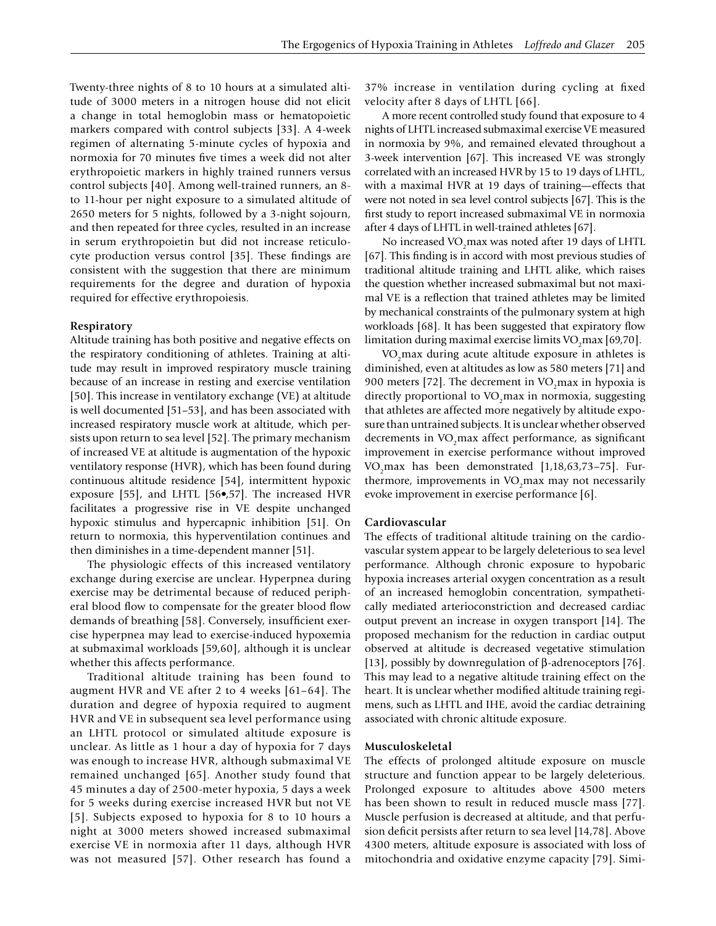Twenty-three nights of 8 to 10 hours at a simulated altitude of 3000 meters in a nitrogen house did not elicit a change in total hemoglobin mass or hematopoietic markers compared with control subjects [33]. A 4-week regimen of alternating 5-minute cycles of hypoxia and normoxia for 70 minutes five times a week did not alter erythropoietic markers in highly trained runners versus control subjects [40]. Among well-trained runners, an 8 to 11-hour per night exposure to a simulated altitude of 2650 meters for 5 nights, followed by a 3-night sojourn, and then repeated for three cycles, resulted in an increase in serum erythropoietin but did not increase reticulocyte production versus control [35]. These findings are consistent with the suggestion that there are minimum requirements for the degree and duration of hypoxia required for effective erythropoiesis.

#### **Respiratory**

Altitude training has both positive and negative effects on the respiratory conditioning of athletes. Training at altitude may result in improved respiratory muscle training because of an increase in resting and exercise ventilation [50]. This increase in ventilatory exchange (VE) at altitude is well documented [51–53], and has been associated with increased respiratory muscle work at altitude, which persists upon return to sea level [52]. The primary mechanism of increased VE at altitude is augmentation of the hypoxic ventilatory response (HVR), which has been found during continuous altitude residence [54], intermittent hypoxic exposure [55], and LHTL [56•,57]. The increased HVR facilitates a progressive rise in VE despite unchanged hypoxic stimulus and hypercapnic inhibition [51]. On return to normoxia, this hyperventilation continues and then diminishes in a time-dependent manner [51].

The physiologic effects of this increased ventilatory exchange during exercise are unclear. Hyperpnea during exercise may be detrimental because of reduced peripheral blood flow to compensate for the greater blood flow demands of breathing [58]. Conversely, insufficient exercise hyperpnea may lead to exercise-induced hypoxemia at submaximal workloads [59,60], although it is unclear whether this affects performance.

Traditional altitude training has been found to augment HVR and VE after 2 to 4 weeks [61–64]. The duration and degree of hypoxia required to augment HVR and VE in subsequent sea level performance using an LHTL protocol or simulated altitude exposure is unclear. As little as 1 hour a day of hypoxia for 7 days was enough to increase HVR, although submaximal VE remained unchanged [65]. Another study found that 45 minutes a day of 2500-meter hypoxia, 5 days a week for 5 weeks during exercise increased HVR but not VE [5]. Subjects exposed to hypoxia for 8 to 10 hours a night at 3000 meters showed increased submaximal exercise VE in normoxia after 11 days, although HVR was not measured [57]. Other research has found a

37% increase in ventilation during cycling at fixed velocity after 8 days of LHTL [66].

A more recent controlled study found that exposure to 4 nights of LHTL increased submaximal exercise VE measured in normoxia by 9%, and remained elevated throughout a 3-week intervention [67]. This increased VE was strongly correlated with an increased HVR by 15 to 19 days of LHTL, with a maximal HVR at 19 days of training—effects that were not noted in sea level control subjects [67]. This is the first study to report increased submaximal VE in normoxia after 4 days of LHTL in well-trained athletes [67].

No increased VO<sub>2</sub> max was noted after 19 days of LHTL [67]. This finding is in accord with most previous studies of traditional altitude training and LHTL alike, which raises the question whether increased submaximal but not maximal VE is a reflection that trained athletes may be limited by mechanical constraints of the pulmonary system at high workloads [68]. It has been suggested that expiratory flow limitation during maximal exercise limits  $\rm VO_{2}$ max [69,70].

VO<sub>2</sub>max during acute altitude exposure in athletes is diminished, even at altitudes as low as 580 meters [71] and 900 meters [72]. The decrement in  $VO<sub>2</sub>$  max in hypoxia is directly proportional to VO<sub>2</sub>max in normoxia, suggesting that athletes are affected more negatively by altitude exposure than untrained subjects. It is unclear whether observed decrements in VO<sub>2</sub>max affect performance, as significant improvement in exercise performance without improved VO<sub>2</sub>max has been demonstrated  $[1,18,63,73-75]$ . Furthermore, improvements in VO<sub>2</sub>max may not necessarily evoke improvement in exercise performance [6].

#### **Cardiovascular**

The effects of traditional altitude training on the cardiovascular system appear to be largely deleterious to sea level performance. Although chronic exposure to hypobaric hypoxia increases arterial oxygen concentration as a result of an increased hemoglobin concentration, sympathetically mediated arterioconstriction and decreased cardiac output prevent an increase in oxygen transport [14]. The proposed mechanism for the reduction in cardiac output observed at altitude is decreased vegetative stimulation [13], possibly by downregulation of β-adrenoceptors [76]. This may lead to a negative altitude training effect on the heart. It is unclear whether modified altitude training regimens, such as LHTL and IHE, avoid the cardiac detraining associated with chronic altitude exposure.

#### **Musculoskeletal**

The effects of prolonged altitude exposure on muscle structure and function appear to be largely deleterious. Prolonged exposure to altitudes above 4500 meters has been shown to result in reduced muscle mass [77]. Muscle perfusion is decreased at altitude, and that perfusion deficit persists after return to sea level [14,78]. Above 4300 meters, altitude exposure is associated with loss of mitochondria and oxidative enzyme capacity [79]. Simi-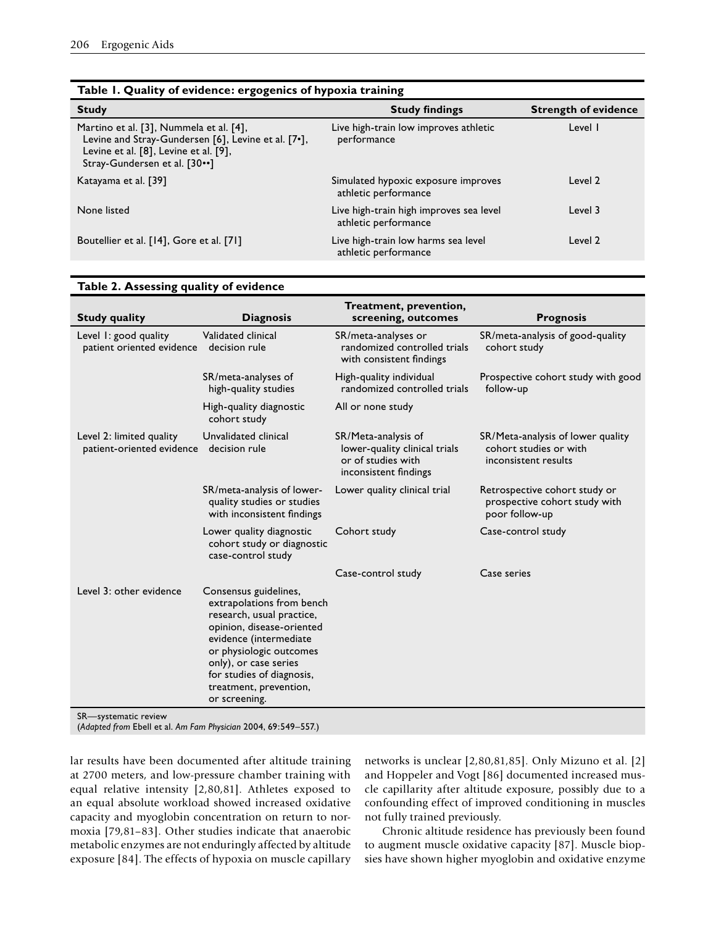| <b>Strength of evidence</b> |
|-----------------------------|
|                             |
|                             |
|                             |
|                             |
|                             |

| Table 2. Assessing quality of evidence                |                                                                                                                                                                                                                                                                    |                                                                                                     |                                                                                     |
|-------------------------------------------------------|--------------------------------------------------------------------------------------------------------------------------------------------------------------------------------------------------------------------------------------------------------------------|-----------------------------------------------------------------------------------------------------|-------------------------------------------------------------------------------------|
| <b>Study quality</b>                                  | <b>Diagnosis</b>                                                                                                                                                                                                                                                   | Treatment, prevention,<br>screening, outcomes                                                       | <b>Prognosis</b>                                                                    |
| Level 1: good quality<br>patient oriented evidence    | Validated clinical<br>decision rule                                                                                                                                                                                                                                | SR/meta-analyses or<br>randomized controlled trials<br>with consistent findings                     | SR/meta-analysis of good-quality<br>cohort study                                    |
|                                                       | SR/meta-analyses of<br>high-quality studies                                                                                                                                                                                                                        | High-quality individual<br>randomized controlled trials                                             | Prospective cohort study with good<br>follow-up                                     |
|                                                       | High-quality diagnostic<br>cohort study                                                                                                                                                                                                                            | All or none study                                                                                   |                                                                                     |
| Level 2: limited quality<br>patient-oriented evidence | Unvalidated clinical<br>decision rule                                                                                                                                                                                                                              | SR/Meta-analysis of<br>lower-quality clinical trials<br>or of studies with<br>inconsistent findings | SR/Meta-analysis of lower quality<br>cohort studies or with<br>inconsistent results |
|                                                       | SR/meta-analysis of lower-<br>quality studies or studies<br>with inconsistent findings                                                                                                                                                                             | Lower quality clinical trial                                                                        | Retrospective cohort study or<br>prospective cohort study with<br>poor follow-up    |
|                                                       | Lower quality diagnostic<br>cohort study or diagnostic<br>case-control study                                                                                                                                                                                       | Cohort study                                                                                        | Case-control study                                                                  |
|                                                       |                                                                                                                                                                                                                                                                    | Case-control study                                                                                  | Case series                                                                         |
| Level 3: other evidence                               | Consensus guidelines,<br>extrapolations from bench<br>research, usual practice,<br>opinion, disease-oriented<br>evidence (intermediate<br>or physiologic outcomes<br>only), or case series<br>for studies of diagnosis,<br>treatment, prevention,<br>or screening. |                                                                                                     |                                                                                     |
| SR-systematic review                                  |                                                                                                                                                                                                                                                                    |                                                                                                     |                                                                                     |

(*Adapted from* Ebell et al. *Am Fam Physician* 2004, 69:549–557.)

lar results have been documented after altitude training at 2700 meters, and low-pressure chamber training with equal relative intensity [2,80,81]. Athletes exposed to an equal absolute workload showed increased oxidative capacity and myoglobin concentration on return to normoxia [79,81–83]. Other studies indicate that anaerobic metabolic enzymes are not enduringly affected by altitude exposure [84]. The effects of hypoxia on muscle capillary

networks is unclear [2,80,81,85]. Only Mizuno et al. [2] and Hoppeler and Vogt [86] documented increased muscle capillarity after altitude exposure, possibly due to a confounding effect of improved conditioning in muscles not fully trained previously.

Chronic altitude residence has previously been found to augment muscle oxidative capacity [87]. Muscle biopsies have shown higher myoglobin and oxidative enzyme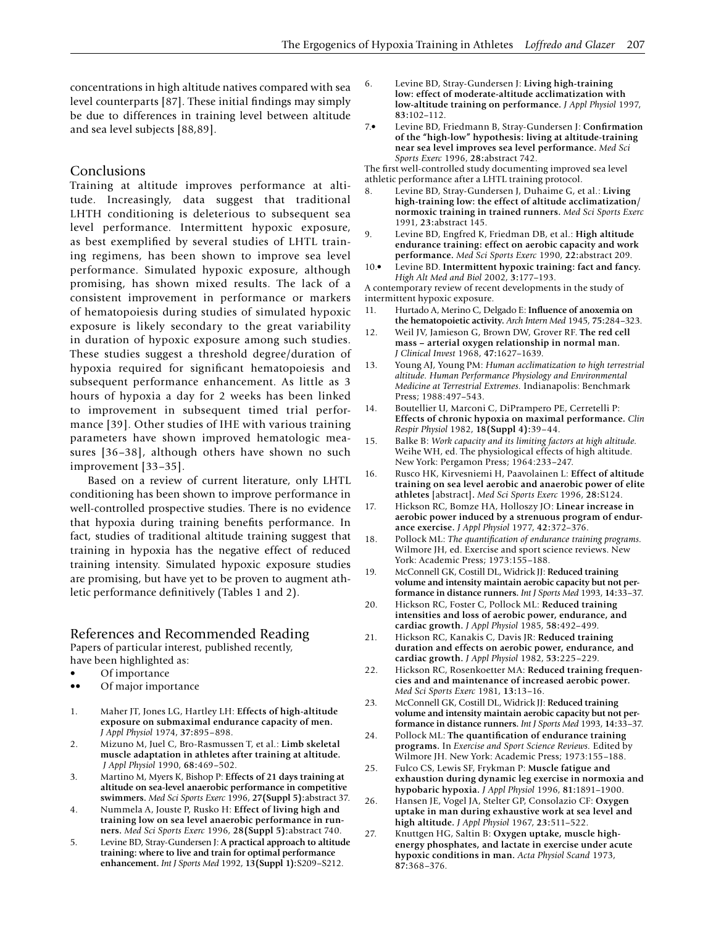concentrations in high altitude natives compared with sea level counterparts [87]. These initial findings may simply be due to differences in training level between altitude and sea level subjects [88,89].

### Conclusions

Training at altitude improves performance at altitude. Increasingly, data suggest that traditional LHTH conditioning is deleterious to subsequent sea level performance. Intermittent hypoxic exposure, as best exemplified by several studies of LHTL training regimens, has been shown to improve sea level performance. Simulated hypoxic exposure, although promising, has shown mixed results. The lack of a consistent improvement in performance or markers of hematopoiesis during studies of simulated hypoxic exposure is likely secondary to the great variability in duration of hypoxic exposure among such studies. These studies suggest a threshold degree/duration of hypoxia required for significant hematopoiesis and subsequent performance enhancement. As little as 3 hours of hypoxia a day for 2 weeks has been linked to improvement in subsequent timed trial performance [39]. Other studies of IHE with various training parameters have shown improved hematologic measures [36–38], although others have shown no such improvement [33–35].

Based on a review of current literature, only LHTL conditioning has been shown to improve performance in well-controlled prospective studies. There is no evidence that hypoxia during training benefits performance. In fact, studies of traditional altitude training suggest that training in hypoxia has the negative effect of reduced training intensity. Simulated hypoxic exposure studies are promising, but have yet to be proven to augment athletic performance definitively (Tables 1 and 2).

# References and Recommended Reading

Papers of particular interest, published recently, have been highlighted as:

- Of importance
- •• Of major importance
- 1. Maher JT, Jones LG, Hartley LH: **Effects of high-altitude exposure on submaximal endurance capacity of men.**  *J Appl Physiol* 1974, **37:**895–898.
- 2. Mizuno M, Juel C, Bro-Rasmussen T, et al.: **Limb skeletal muscle adaptation in athletes after training at altitude.** *J Appl Physiol* 1990, **68:**469–502.
- 3. Martino M, Myers K, Bishop P: **Effects of 21 days training at altitude on sea-level anaerobic performance in competitive swimmers.** *Med Sci Sports Exerc* 1996, **27(Suppl 5):**abstract 37.
- 4. Nummela A, Jouste P, Rusko H: **Effect of living high and training low on sea level anaerobic performance in runners.** *Med Sci Sports Exerc* 1996, **28(Suppl 5):**abstract 740.
- 5. Levine BD, Stray-Gundersen J: **A practical approach to altitude training: where to live and train for optimal performance enhancement.** *Int J Sports Med* 1992, **13(Suppl 1):**S209–S212.
- 6. Levine BD, Stray-Gundersen J: **Living high-training low: effect of moderate-altitude acclimatization with low-altitude training on performance.** *J Appl Physiol* 1997, **83:**102–112.
- 7.• Levine BD, Friedmann B, Stray-Gundersen J: **Confirmation of the "high-low" hypothesis: living at altitude-training near sea level improves sea level performance.** *Med Sci Sports Exerc* 1996, **28:**abstract 742.

The first well-controlled study documenting improved sea level athletic performance after a LHTL training protocol.

- 8. Levine BD, Stray-Gundersen J, Duhaime G, et al.: **Living high-training low: the effect of altitude acclimatization/ normoxic training in trained runners.** *Med Sci Sports Exerc*  1991, **23:**abstract 145.
- 9. Levine BD, Engfred K, Friedman DB, et al.: **High altitude endurance training: effect on aerobic capacity and work performance.** *Med Sci Sports Exerc* 1990, **22:**abstract 209.
- 10.• Levine BD. **Intermittent hypoxic training: fact and fancy.**  *High Alt Med and Biol* 2002, **3:**177–193.

A contemporary review of recent developments in the study of intermittent hypoxic exposure.

- 11. Hurtado A, Merino C, Delgado E: **Influence of anoxemia on the hematopoietic activity.** *Arch Intern Med* 1945, **75:**284–323.
- 12. Weil JV, Jamieson G, Brown DW, Grover RF. **The red cell mass – arterial oxygen relationship in normal man.**  *J Clinical Invest* 1968, **47:**1627–1639.
- 13. Young AJ, Young PM: *Human acclimatization to high terrestrial altitude. Human Performance Physiology and Environmental Medicine at Terrestrial Extremes.* Indianapolis: Benchmark Press; 1988:497–543.
- 14. Boutellier U, Marconi C, DiPrampero PE, Cerretelli P: **Effects of chronic hypoxia on maximal performance.** *Clin Respir Physiol* 1982, **18(Suppl 4):**39–44.
- 15. Balke B: *Work capacity and its limiting factors at high altitude.*  Weihe WH, ed. The physiological effects of high altitude. New York: Pergamon Press; 1964:233–247.
- 16. Rusco HK, Kirvesniemi H, Paavolainen L: **Effect of altitude training on sea level aerobic and anaerobic power of elite athletes** [abstract]**.** *Med Sci Sports Exerc* 1996, **28:**S124.
- 17. Hickson RC, Bomze HA, Holloszy JO: **Linear increase in aerobic power induced by a strenuous program of endurance exercise.** *J Appl Physiol* 1977, **42:**372–376.
- 18. Pollock ML: *The quantification of endurance training programs.*  Wilmore JH, ed. Exercise and sport science reviews. New York: Academic Press; 1973:155–188.
- 19. McConnell GK, Costill DL, Widrick JJ: **Reduced training volume and intensity maintain aerobic capacity but not performance in distance runners.** *Int J Sports Med* 1993, **14:**33–37.
- 20. Hickson RC, Foster C, Pollock ML: **Reduced training intensities and loss of aerobic power, endurance, and cardiac growth.** *J Appl Physiol* 1985, **58:**492–499.
- 21. Hickson RC, Kanakis C, Davis JR: **Reduced training duration and effects on aerobic power, endurance, and cardiac growth.** *J Appl Physiol* 1982, **53:**225–229.
- 22. Hickson RC, Rosenkoetter MA: **Reduced training frequencies and and maintenance of increased aerobic power.**  *Med Sci Sports Exerc* 1981, **13:**13–16.
- 23. McConnell GK, Costill DL, Widrick JJ: **Reduced training volume and intensity maintain aerobic capacity but not performance in distance runners.** *Int J Sports Med* 1993, **14:**33–37.
- 24. Pollock ML: **The quantification of endurance training programs.** In *Exercise and Sport Science Reviews.* Edited by Wilmore JH. New York: Academic Press; 1973:155–188.
- 25. Fulco CS, Lewis SF, Frykman P: **Muscle fatigue and exhaustion during dynamic leg exercise in normoxia and hypobaric hypoxia.** *J Appl Physiol* 1996, **81:**1891–1900.
- 26. Hansen JE, Vogel JA, Stelter GP, Consolazio CF: **Oxygen uptake in man during exhaustive work at sea level and high altitude.** *J Appl Physiol* 1967, **23:**511–522.
- 27. Knuttgen HG, Saltin B: **Oxygen uptake, muscle highenergy phosphates, and lactate in exercise under acute hypoxic conditions in man.** *Acta Physiol Scand* 1973, **87:**368–376.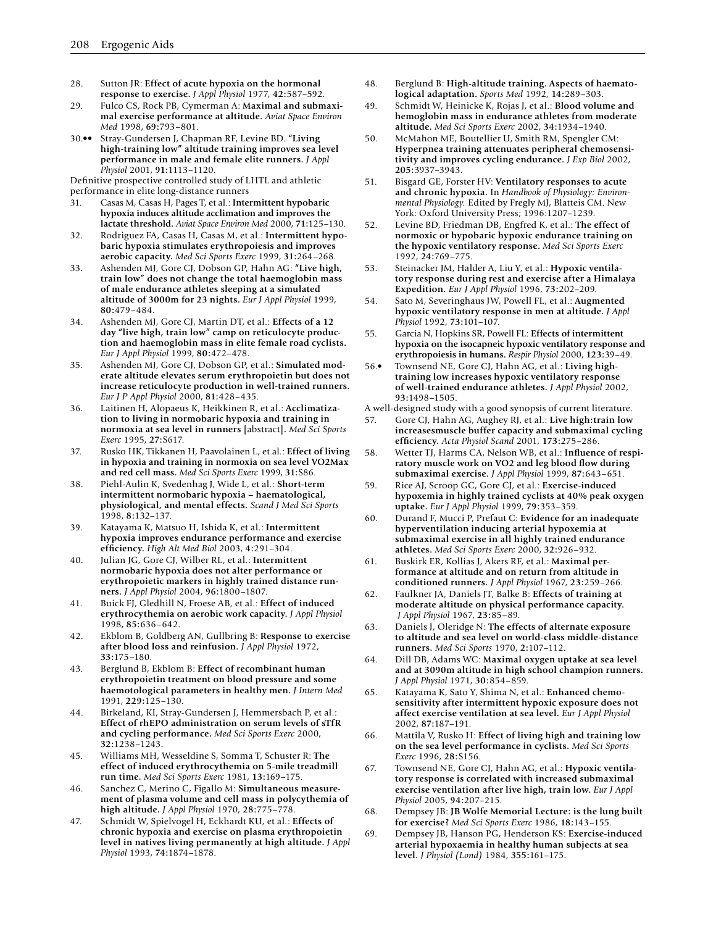- 28. Sutton JR: **Effect of acute hypoxia on the hormonal response to exercise.** *J Appl Physiol* 1977, **42:**587–592.
- 29. Fulco CS, Rock PB, Cymerman A: **Maximal and submaximal exercise performance at altitude.** *Aviat Space Environ Med* 1998, **69:**793–801.
- 30.•• Stray-Gundersen J, Chapman RF, Levine BD. **"Living high-training low" altitude training improves sea level performance in male and female elite runners.** *J Appl Physiol* 2001, **91:**1113–1120.

Definitive prospective controlled study of LHTL and athletic performance in elite long-distance runners

- 31. Casas M, Casas H, Pages T, et al.: **Intermittent hypobaric hypoxia induces altitude acclimation and improves the lactate threshold.** *Aviat Space Environ Med* 2000, **71:**125–130.
- 32. Rodriguez FA, Casas H, Casas M, et al.: **Intermittent hypobaric hypoxia stimulates erythropoiesis and improves aerobic capacity.** *Med Sci Sports Exerc* 1999, **31:**264–268.
- 33. Ashenden MJ, Gore CJ, Dobson GP, Hahn AG: **"Live high, train low" does not change the total haemoglobin mass of male endurance athletes sleeping at a simulated altitude of 3000m for 23 nights.** *Eur J Appl Physiol* 1999, **80:**479–484.
- 34. Ashenden MJ, Gore CJ, Martin DT, et al.: **Effects of a 12 day "live high, train low" camp on reticulocyte production and haemoglobin mass in elite female road cyclists.**  *Eur J Appl Physiol* 1999, **80:**472–478.
- 35. Ashenden MJ, Gore CJ, Dobson GP, et al.: **Simulated moderate altitude elevates serum erythropoietin but does not increase reticulocyte production in well-trained runners.**  *Eur J P Appl Physiol* 2000, **81:**428–435.
- 36. Laitinen H, Alopaeus K, Heikkinen R, et al.: **Acclimatization to living in normobaric hypoxia and training in normoxia at sea level in runners** [abstract]**.** *Med Sci Sports Exerc* 1995, **27:**S617.
- 37. Rusko HK, Tikkanen H, Paavolainen L, et al.: **Effect of living in hypoxia and training in normoxia on sea level VO2Max and red cell mass.** *Med Sci Sports Exerc* 1999, **31:**S86.
- 38. Piehl-Aulin K, Svedenhag J, Wide L, et al.: **Short-term intermittent normobaric hypoxia – haematological, physiological, and mental effects.** *Scand J Med Sci Sports*  1998, **8:**132–137.
- 39. Katayama K, Matsuo H, Ishida K, et al.: **Intermittent hypoxia improves endurance performance and exercise efficiency.** *High Alt Med Biol* 2003, **4:**291–304.
- 40. Julian JG, Gore CJ, Wilber RL, et al.: **Intermittent normobaric hypoxia does not alter performance or erythropoietic markers in highly trained distance runners.** *J Appl Physiol* 2004, **96:**1800–1807.
- 41. Buick FJ, Gledhill N, Froese AB, et al.: **Effect of induced erythrocythemia on aerobic work capacity.** *J Appl Physiol*  1998, **85:**636–642.
- 42. Ekblom B, Goldberg AN, Gullbring B: **Response to exercise after blood loss and reinfusion.** *J Appl Physiol* 1972, **33:**175–180.
- 43. Berglund B, Ekblom B: **Effect of recombinant human erythropoietin treatment on blood pressure and some haemotological parameters in healthy men.** *J Intern Med*  1991, **229:**125–130.
- 44. Birkeland, KI, Stray-Gundersen J, Hemmersbach P, et al.: **Effect of rhEPO administration on serum levels of sTfR and cycling performance.** *Med Sci Sports Exerc* 2000, **32:**1238–1243.
- 45. Williams MH, Wesseldine S, Somma T, Schuster R: **The effect of induced erythrocythemia on 5-mile treadmill run time.** *Med Sci Sports Exerc* 1981, **13:**169–175.
- 46. Sanchez C, Merino C, Figallo M: **Simultaneous measurement of plasma volume and cell mass in polycythemia of high altitude.** *J Appl Physiol* 1970, **28:**775–778.
- 47. Schmidt W, Spielvogel H, Eckhardt KU, et al.: **Effects of chronic hypoxia and exercise on plasma erythropoietin level in natives living permanently at high altitude.** *J Appl Physiol* 1993, **74:**1874–1878.
- 48. Berglund B: **High-altitude training. Aspects of haematological adaptation.** *Sports Med* 1992, **14:**289–303.
- 49. Schmidt W, Heinicke K, Rojas J, et al.: **Blood volume and hemoglobin mass in endurance athletes from moderate altitude.** *Med Sci Sports Exerc* 2002, **34:**1934–1940.
- 50. McMahon ME, Boutellier U, Smith RM, Spengler CM: **Hyperpnea training attenuates peripheral chemosensitivity and improves cycling endurance.** *J Exp Biol* 2002, **205:**3937–3943.
- 51. Bisgard GE, Forster HV: **Ventilatory responses to acute and chronic hypoxia.** In *Handbook of Physiology: Environmental Physiology.* Edited by Fregly MJ, Blatteis CM. New York: Oxford University Press; 1996:1207–1239.
- 52. Levine BD, Friedman DB, Engfred K, et al.: **The effect of normoxic or hypobaric hypoxic endurance training on the hypoxic ventilatory response.** *Med Sci Sports Exerc*  1992, **24:**769–775.
- 53. Steinacker JM, Halder A, Liu Y, et al.: **Hypoxic ventilatory response during rest and exercise after a Himalaya Expedition.** *Eur J Appl Physiol* 1996, **73:**202–209.
- 54. Sato M, Severinghaus JW, Powell FL, et al.: **Augmented hypoxic ventilatory response in men at altitude.** *J Appl Physiol* 1992, **73:**101–107.
- 55. Garcia N, Hopkins SR, Powell FL: **Effects of intermittent hypoxia on the isocapneic hypoxic ventilatory response and erythropoiesis in humans.** *Respir Physiol* 2000, **123:**39–49.
- 56.• Townsend NE, Gore CJ, Hahn AG, et al.: **Living hightraining low increases hypoxic ventilatory response of well-trained endurance athletes.** *J Appl Physiol* 2002, **93:**1498–1505.
- A well-designed study with a good synopsis of current literature.
- 57. Gore CJ, Hahn AG, Aughey RJ, et al.: **Live high:train low increasesmuscle buffer capacity and submaximal cycling efficiency.** *Acta Physiol Scand* 2001, **173:**275–286.
- 58. Wetter TJ, Harms CA, Nelson WB, et al.: **Influence of respiratory muscle work on VO2 and leg blood flow during submaximal exercise.** *J Appl Physiol* 1999, **87:**643–651.
- 59. Rice AJ, Scroop GC, Gore CJ, et al.: **Exercise-induced hypoxemia in highly trained cyclists at 40% peak oxygen uptake.** *Eur J Appl Physiol* 1999, **79:**353–359.
- 60. Durand F, Mucci P, Prefaut C: **Evidence for an inadequate hyperventilation inducing arterial hypoxemia at submaximal exercise in all highly trained endurance athletes.** *Med Sci Sports Exerc* 2000, **32:**926–932.
- 61. Buskirk ER, Kollias J, Akers RF, et al.: **Maximal performance at altitude and on return from altitude in conditioned runners.** *J Appl Physiol* 1967, **23:**259–266.
- 62. Faulkner JA, Daniels JT, Balke B: **Effects of training at moderate altitude on physical performance capacity.** *J Appl Physiol* 1967, **23:**85–89.
- 63. Daniels J, Oleridge N: **The effects of alternate exposure to altitude and sea level on world-class middle-distance runners.** *Med Sci Sports* 1970, **2:**107–112.
- 64. Dill DB, Adams WC: **Maximal oxygen uptake at sea level and at 3090m altitude in high school champion runners.**  *J Appl Physiol* 1971, **30:**854–859.
- 65. Katayama K, Sato Y, Shima N, et al.: **Enhanced chemosensitivity after intermittent hypoxic exposure does not affect exercise ventilation at sea level.** *Eur J Appl Physiol*  2002, **87:**187–191.
- 66. Mattila V, Rusko H: **Effect of living high and training low on the sea level performance in cyclists.** *Med Sci Sports Exerc* 1996, **28:**S156.
- 67. Townsend NE, Gore CJ, Hahn AG, et al.: **Hypoxic ventilatory response is correlated with increased submaximal exercise ventilation after live high, train low.** *Eur J Appl Physiol* 2005, **94:**207–215.
- 68. Dempsey JB: **JB Wolfe Memorial Lecture: is the lung built for exercise?** *Med Sci Sports Exerc* 1986, **18:**143–155.
- 69. Dempsey JB, Hanson PG, Henderson KS: **Exercise-induced arterial hypoxaemia in healthy human subjects at sea level.** *J Physiol (Lond)* 1984, **355:**161–175.